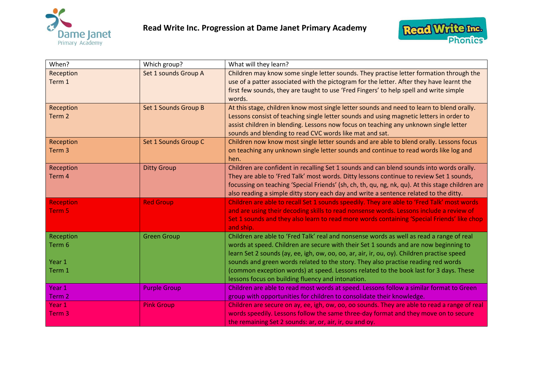



| When?                                   | Which group?         | What will they learn?                                                                                                                                                                                                                                                                                                                                                                                                                                                                                             |
|-----------------------------------------|----------------------|-------------------------------------------------------------------------------------------------------------------------------------------------------------------------------------------------------------------------------------------------------------------------------------------------------------------------------------------------------------------------------------------------------------------------------------------------------------------------------------------------------------------|
| Reception<br>Term 1                     | Set 1 sounds Group A | Children may know some single letter sounds. They practise letter formation through the<br>use of a patter associated with the pictogram for the letter. After they have learnt the<br>first few sounds, they are taught to use 'Fred Fingers' to help spell and write simple<br>words.                                                                                                                                                                                                                           |
| Reception<br>Term 2                     | Set 1 Sounds Group B | At this stage, children know most single letter sounds and need to learn to blend orally.<br>Lessons consist of teaching single letter sounds and using magnetic letters in order to<br>assist children in blending. Lessons now focus on teaching any unknown single letter<br>sounds and blending to read CVC words like mat and sat.                                                                                                                                                                           |
| Reception<br>Term <sub>3</sub>          | Set 1 Sounds Group C | Children now know most single letter sounds and are able to blend orally. Lessons focus<br>on teaching any unknown single letter sounds and continue to read words like log and<br>hen.                                                                                                                                                                                                                                                                                                                           |
| Reception<br>Term <sub>4</sub>          | <b>Ditty Group</b>   | Children are confident in recalling Set 1 sounds and can blend sounds into words orally.<br>They are able to 'Fred Talk' most words. Ditty lessons continue to review Set 1 sounds,<br>focussing on teaching 'Special Friends' (sh, ch, th, qu, ng, nk, qu). At this stage children are<br>also reading a simple ditty story each day and write a sentence related to the ditty.                                                                                                                                  |
| <b>Reception</b><br>Term 5              | <b>Red Group</b>     | Children are able to recall Set 1 sounds speedily. They are able to 'Fred Talk' most words<br>and are using their decoding skills to read nonsense words. Lessons include a review of<br>Set 1 sounds and they also learn to read more words containing 'Special Friends' like chop<br>and ship.                                                                                                                                                                                                                  |
| Reception<br>Term 6<br>Year 1<br>Term 1 | <b>Green Group</b>   | Children are able to 'Fred Talk' real and nonsense words as well as read a range of real<br>words at speed. Children are secure with their Set 1 sounds and are now beginning to<br>learn Set 2 sounds (ay, ee, igh, ow, oo, oo, ar, air, ir, ou, oy). Children practise speed<br>sounds and green words related to the story. They also practise reading red words<br>(common exception words) at speed. Lessons related to the book last for 3 days. These<br>lessons focus on building fluency and intonation. |
| Year 1<br>Term 2                        | <b>Purple Group</b>  | Children are able to read most words at speed. Lessons follow a similar format to Green<br>group with opportunities for children to consolidate their knowledge.                                                                                                                                                                                                                                                                                                                                                  |
| Year 1<br>Term <sub>3</sub>             | <b>Pink Group</b>    | Children are secure on ay, ee, igh, ow, oo, oo sounds. They are able to read a range of real<br>words speedily. Lessons follow the same three-day format and they move on to secure<br>the remaining Set 2 sounds: ar, or, air, ir, ou and oy.                                                                                                                                                                                                                                                                    |